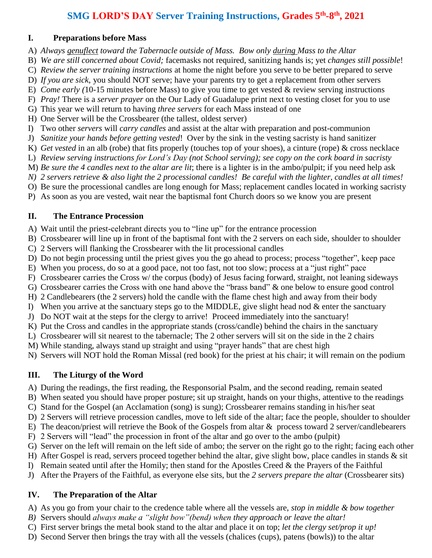### **SMG LORD'S DAY Server Training Instructions, Grades 5th -8 th, 2021**

#### **I. Preparations before Mass**

- A) *Always genuflect toward the Tabernacle outside of Mass. Bow only during Mass to the Altar*
- B) *We are still concerned about Covid;* facemasks not required, sanitizing hands is; yet *changes still possible*!
- C) *Review the server training instructions* at home the night before you serve to be better prepared to serve
- D) *If you are sick*, you should NOT serve; have your parents try to get a replacement from other servers
- E) *Come early (*10-15 minutes before Mass) to give you time to get vested & review serving instructions
- F) *Pray!* There is a *server prayer* on the Our Lady of Guadalupe print next to vesting closet for you to use
- G) This year we will return to having *three servers* for each Mass instead of one
- H) One Server will be the Crossbearer (the tallest, oldest server)
- I) Two other *servers* will *carry candles* and assist at the altar with preparation and post-communion
- J) *Sanitize your hands before getting vested*! Over by the sink in the vesting sacristy is hand sanitizer
- K) *Get vested* in an alb (robe) that fits properly (touches top of your shoes), a cinture (rope) & cross necklace
- L) *Review serving instructions for Lord's Day (not School serving); see copy on the cork board in sacristy*
- M) *Be sure the 4 candles next to the altar are lit*; there is a lighter is in the ambo/pulpit; if you need help ask
- *N) 2 servers retrieve & also light the 2 processional candles! Be careful with the lighter, candles at all times!*
- O) Be sure the processional candles are long enough for Mass; replacement candles located in working sacristy
- P) As soon as you are vested, wait near the baptismal font Church doors so we know you are present

### **II. The Entrance Procession**

- A) Wait until the priest-celebrant directs you to "line up" for the entrance procession
- B) Crossbearer will line up in front of the baptismal font with the 2 servers on each side, shoulder to shoulder
- C) 2 Servers will flanking the Crossbearer with the lit processional candles
- D) Do not begin processing until the priest gives you the go ahead to process; process "together", keep pace
- E) When you process, do so at a good pace, not too fast, not too slow; process at a "just right" pace
- F) Crossbearer carries the Cross w/ the corpus (body) of Jesus facing forward, straight, not leaning sideways
- G) Crossbearer carries the Cross with one hand above the "brass band" & one below to ensure good control
- H) 2 Candlebearers (the 2 servers) hold the candle with the flame chest high and away from their body
- I) When you arrive at the sanctuary steps go to the MIDDLE, give slight head nod  $\&$  enter the sanctuary
- J) Do NOT wait at the steps for the clergy to arrive! Proceed immediately into the sanctuary!
- K) Put the Cross and candles in the appropriate stands (cross/candle) behind the chairs in the sanctuary
- L) Crossbearer will sit nearest to the tabernacle; The 2 other servers will sit on the side in the 2 chairs
- M) While standing, always stand up straight and using "prayer hands" that are chest high
- N) Servers will NOT hold the Roman Missal (red book) for the priest at his chair; it will remain on the podium

### **III. The Liturgy of the Word**

A) During the readings, the first reading, the Responsorial Psalm, and the second reading, remain seated

- B) When seated you should have proper posture; sit up straight, hands on your thighs, attentive to the readings
- C) Stand for the Gospel (an Acclamation (song) is sung); Crossbearer remains standing in his/her seat
- D) 2 Servers will retrieve procession candles, move to left side of the altar; face the people, shoulder to shoulder
- E) The deacon/priest will retrieve the Book of the Gospels from altar & process toward 2 server/candlebearers
- F) 2 Servers will "lead" the procession in front of the altar and go over to the ambo (pulpit)
- G) Server on the left will remain on the left side of ambo; the server on the right go to the right; facing each other
- H) After Gospel is read, servers proceed together behind the altar, give slight bow, place candles in stands & sit
- I) Remain seated until after the Homily; then stand for the Apostles Creed & the Prayers of the Faithful
- J) After the Prayers of the Faithful, as everyone else sits, but the *2 servers prepare the altar* (Crossbearer sits)

### **IV. The Preparation of the Altar**

- A) As you go from your chair to the credence table where all the vessels are, *stop in middle & bow together*
- *B)* Servers should *always make a "slight bow"(bend) when they approach or leave the altar!*
- C) First server brings the metal book stand to the altar and place it on top; *let the clergy set/prop it up!*
- D) Second Server then brings the tray with all the vessels (chalices (cups), patens (bowls)) to the altar